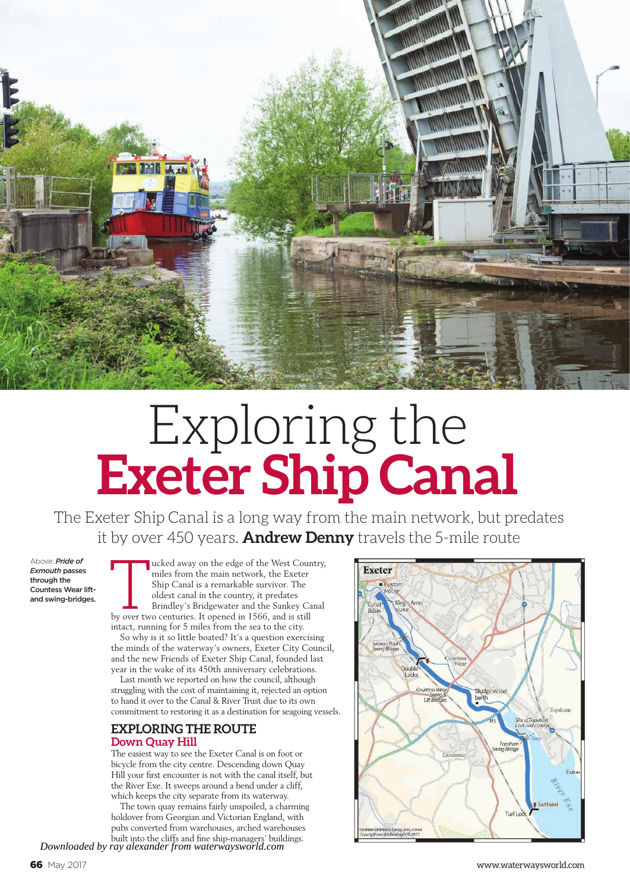

# Exploring the **Exeter Ship Canal**

The Exeter Ship Canal is a long way from the main network, but predates it by over 450 years. **Andrew Denny** travels the 5-mile route

Above: *Pride of Exmouth* passes through the Countess Wear liftand swing-bridges. The ucked away on the edge of the West Coun<br>miles from the main network, the Exeter<br>Ship Canal is a remarkable survivor. The<br>oldest canal in the country, it predates<br>Brindley's Bridgewater and the Sankey Ca<br>by over two cen ucked away on the edge of the West Country, miles from the main network, the Exeter Ship Canal is a remarkable survivor. The oldest canal in the country, it predates Brindley's Bridgewater and the Sankey Canal intact, running for 5 miles from the sea to the city.

So why is it so little boated? It's a question exercising the minds of the waterway's owners, Exeter City Council, and the new Friends of Exeter Ship Canal, founded last year in the wake of its 450th anniversary celebrations.

Last month we reported on how the council, although struggling with the cost of maintaining it, rejected an option to hand it over to the Canal & River Trust due to its own commitment to restoring it as a destination for seagoing vessels.

### **EXPLORING THE ROUTE Down Quay Hill**

The easiest way to see the Exeter Canal is on foot or bicycle from the city centre. Descending down Quay Hill your first encounter is not with the canal itself, but the River Exe. It sweeps around a bend under a cliff, which keeps the city separate from its waterway.

The town quay remains fairly unspoiled, a charming holdover from Georgian and Victorian England, with pubs converted from warehouses, arched warehouses

built into the cliffs and fine ship-managers' buildings. *Downloaded by ray alexander from waterwaysworld.com*

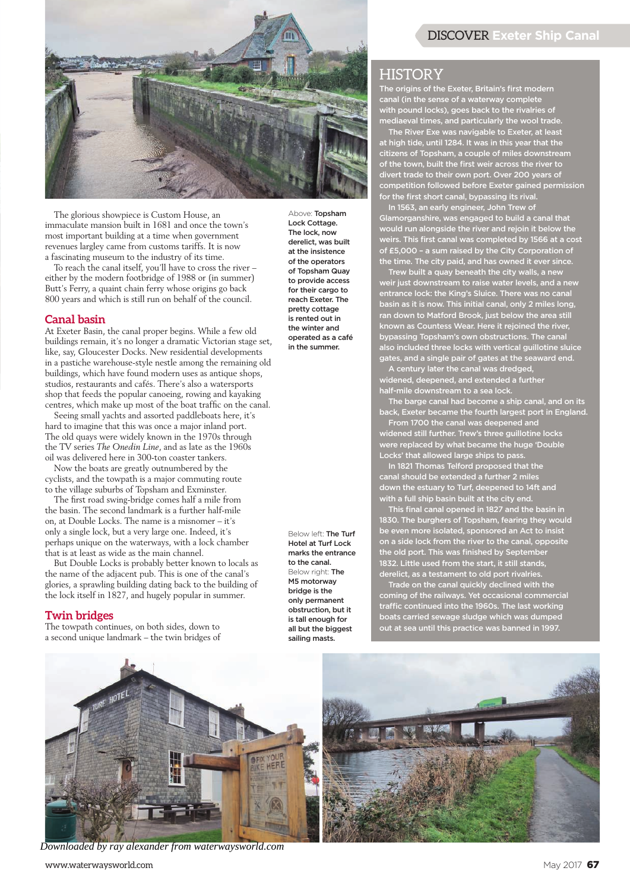

The glorious showpiece is Custom House, an immaculate mansion built in 1681 and once the town's most important building at a time when government revenues largley came from customs tariffs. It is now a fascinating museum to the industry of its time.

To reach the canal itself, you'll have to cross the river – either by the modern footbridge of 1988 or (in summer) Butt's Ferry, a quaint chain ferry whose origins go back 800 years and which is still run on behalf of the council.

#### **Canal basin**

At Exeter Basin, the canal proper begins. While a few old buildings remain, it's no longer a dramatic Victorian stage set, like, say, Gloucester Docks. New residential developments in a pastiche warehouse-style nestle among the remaining old buildings, which have found modern uses as antique shops, studios, restaurants and cafés. There's also a watersports shop that feeds the popular canoeing, rowing and kayaking centres, which make up most of the boat traffic on the canal.

Seeing small yachts and assorted paddleboats here, it's hard to imagine that this was once a major inland port. The old quays were widely known in the 1970s through the TV series *The Onedin Line*, and as late as the 1960s oil was delivered here in 300-ton coaster tankers.

Now the boats are greatly outnumbered by the cyclists, and the towpath is a major commuting route to the village suburbs of Topsham and Exminster.

The first road swing-bridge comes half a mile from the basin. The second landmark is a further half-mile on, at Double Locks. The name is a misnomer – it's only a single lock, but a very large one. Indeed, it's perhaps unique on the waterways, with a lock chamber that is at least as wide as the main channel.

But Double Locks is probably better known to locals as the name of the adjacent pub. This is one of the canal's glories, a sprawling building dating back to the building of the lock itself in 1827, and hugely popular in summer.

#### **Twin bridges**

The towpath continues, on both sides, down to a second unique landmark – the twin bridges of

Above: Topsham Lock Cottage. The lock, now derelict, was built at the insistence of the operators of Topsham Quay to provide access for their cargo to reach Exeter. The pretty cottage is rented out in the winter and operated as a café in the summer.

Below left: The Turf Hotel at Turf Lock marks the entrance to the canal. Below right: The M5 motorway bridge is the only permanent obstruction, but it is tall enough for all but the biggest sailing masts.

## DISCOVER **Exeter Ship Canal**

### HISTORY

The origins of the Exeter, Britain's first modern canal (in the sense of a waterway complete with pound locks), goes back to the rivalries of mediaeval times, and particularly the wool trade.

The River Exe was navigable to Exeter, at least at high tide, until 1284. It was in this year that the citizens of Topsham, a couple of miles downstream of the town, built the first weir across the river to divert trade to their own port. Over 200 years of competition followed before Exeter gained permission for the first short canal, bypassing its rival.

In 1563, an early engineer, John Trew of Glamorganshire, was engaged to build a canal that would run alongside the river and rejoin it below the weirs. This first canal was completed by 1566 at a cost of £5,000 – a sum raised by the City Corporation of the time. The city paid, and has owned it ever since.

Trew built a quay beneath the city walls, a new weir just downstream to raise water levels, and a new entrance lock: the King's Sluice. There was no canal basin as it is now. This initial canal, only 2 miles long, ran down to Matford Brook, just below the area still known as Countess Wear. Here it rejoined the river, bypassing Topsham's own obstructions. The canal also included three locks with vertical guillotine sluice gates, and a single pair of gates at the seaward end.

A century later the canal was dredged, widened, deepened, and extended a further half-mile downstream to a sea lock.

The barge canal had become a ship canal, and on its back, Exeter became the fourth largest port in England.

From 1700 the canal was deepened and widened still further. Trew's three guillotine locks were replaced by what became the huge 'Double Locks' that allowed large ships to pass.

DCKS" that allowed large ships to patch.<br>In 1821 Thomas Telford proposed that the canal should be extended a further 2 miles down the estuary to Turf, deepened to 14ft and with a full ship basin built at the city end.

This final canal opened in 1827 and the basin in 1830. The burghers of Topsham, fearing they would be even more isolated, sponsored an Act to insist on a side lock from the river to the canal, opposite the old port. This was finished by September 1832. Little used from the start, it still stands, derelict, as a testament to old port rivalries.

Trade on the canal quickly declined with the coming of the railways. Yet occasional commercial traffic continued into the 1960s. The last working boats carried sewage sludge which was dumped out at sea until this practice was banned in 1997.



*Downloaded by ray alexander from waterwaysworld.com*